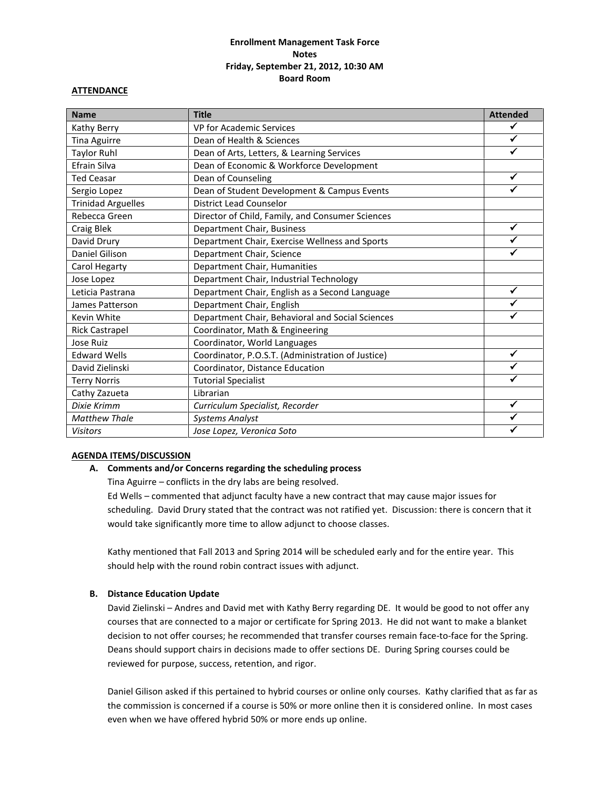# **Enrollment Management Task Force Notes Friday, September 21, 2012, 10:30 AM Board Room**

#### **ATTENDANCE**

| <b>Name</b>               | <b>Title</b>                                      | <b>Attended</b> |
|---------------------------|---------------------------------------------------|-----------------|
| Kathy Berry               | VP for Academic Services                          |                 |
| <b>Tina Aguirre</b>       | Dean of Health & Sciences                         | ✓               |
| <b>Taylor Ruhl</b>        | Dean of Arts, Letters, & Learning Services        |                 |
| Efrain Silva              | Dean of Economic & Workforce Development          |                 |
| <b>Ted Ceasar</b>         | Dean of Counseling                                | ✓               |
| Sergio Lopez              | Dean of Student Development & Campus Events       | ✓               |
| <b>Trinidad Arguelles</b> | <b>District Lead Counselor</b>                    |                 |
| Rebecca Green             | Director of Child, Family, and Consumer Sciences  |                 |
| Craig Blek                | Department Chair, Business                        | ✓               |
| David Drury               | Department Chair, Exercise Wellness and Sports    |                 |
| Daniel Gilison            | Department Chair, Science                         |                 |
| Carol Hegarty             | Department Chair, Humanities                      |                 |
| Jose Lopez                | Department Chair, Industrial Technology           |                 |
| Leticia Pastrana          | Department Chair, English as a Second Language    | ✓               |
| James Patterson           | Department Chair, English                         |                 |
| Kevin White               | Department Chair, Behavioral and Social Sciences  |                 |
| <b>Rick Castrapel</b>     | Coordinator, Math & Engineering                   |                 |
| Jose Ruiz                 | Coordinator, World Languages                      |                 |
| <b>Edward Wells</b>       | Coordinator, P.O.S.T. (Administration of Justice) | ✓               |
| David Zielinski           | Coordinator, Distance Education                   |                 |
| <b>Terry Norris</b>       | <b>Tutorial Specialist</b>                        |                 |
| Cathy Zazueta             | Librarian                                         |                 |
| Dixie Krimm               | Curriculum Specialist, Recorder                   | ✓               |
| <b>Matthew Thale</b>      | <b>Systems Analyst</b>                            |                 |
| <b>Visitors</b>           | Jose Lopez, Veronica Soto                         |                 |

### **AGENDA ITEMS/DISCUSSION**

### **A. Comments and/or Concerns regarding the scheduling process**

Tina Aguirre – conflicts in the dry labs are being resolved.

Ed Wells – commented that adjunct faculty have a new contract that may cause major issues for scheduling. David Drury stated that the contract was not ratified yet. Discussion: there is concern that it would take significantly more time to allow adjunct to choose classes.

Kathy mentioned that Fall 2013 and Spring 2014 will be scheduled early and for the entire year. This should help with the round robin contract issues with adjunct.

#### **B. Distance Education Update**

David Zielinski – Andres and David met with Kathy Berry regarding DE. It would be good to not offer any courses that are connected to a major or certificate for Spring 2013. He did not want to make a blanket decision to not offer courses; he recommended that transfer courses remain face-to-face for the Spring. Deans should support chairs in decisions made to offer sections DE. During Spring courses could be reviewed for purpose, success, retention, and rigor.

Daniel Gilison asked if this pertained to hybrid courses or online only courses. Kathy clarified that as far as the commission is concerned if a course is 50% or more online then it is considered online. In most cases even when we have offered hybrid 50% or more ends up online.